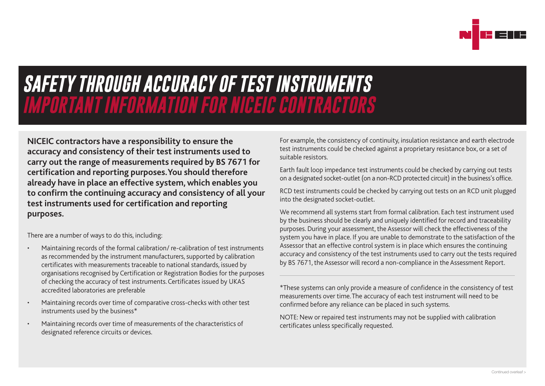

## *SAFETY THROUGH ACCURACY OF TEST INSTRUMENTS IMPORTANT INFORMATION FOR NICEIC CONTRACTORS*

**NICEIC contractors have a responsibility to ensure the accuracy and consistency of their test instruments used to carry out the range of measurements required by BS 7671 for certification and reporting purposes. You should therefore already have in place an effective system, which enables you to confirm the continuing accuracy and consistency of all your test instruments used for certification and reporting purposes.**

There are a number of ways to do this, including:

- Maintaining records of the formal calibration/ re-calibration of test instruments as recommended by the instrument manufacturers, supported by calibration certificates with measurements traceable to national standards, issued by organisations recognised by Certification or Registration Bodies for the purposes of checking the accuracy of test instruments. Certificates issued by UKAS accredited laboratories are preferable
- Maintaining records over time of comparative cross-checks with other test instruments used by the business\*
- Maintaining records over time of measurements of the characteristics of designated reference circuits or devices.

For example, the consistency of continuity, insulation resistance and earth electrode test instruments could be checked against a proprietary resistance box, or a set of suitable resistors.

Earth fault loop impedance test instruments could be checked by carrying out tests on a designated socket-outlet (on a non-RCD protected circuit) in the business's office.

RCD test instruments could be checked by carrying out tests on an RCD unit plugged into the designated socket-outlet.

We recommend all systems start from formal calibration. Each test instrument used by the business should be clearly and uniquely identified for record and traceability purposes. During your assessment, the Assessor will check the effectiveness of the system you have in place. If you are unable to demonstrate to the satisfaction of the Assessor that an effective control system is in place which ensures the continuing accuracy and consistency of the test instruments used to carry out the tests required by BS 7671, the Assessor will record a non-compliance in the Assessment Report.

\*These systems can only provide a measure of confidence in the consistency of test measurements over time. The accuracy of each test instrument will need to be confirmed before any reliance can be placed in such systems.

NOTE: New or repaired test instruments may not be supplied with calibration certificates unless specifically requested.